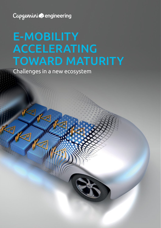Capgemini Cengineering

## E-MOBILITY ACCELERATING TOWARD MATURITY

Challenges in a new ecosystem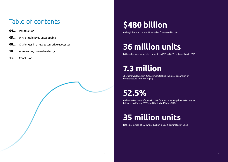### Table of contents

- **04...** Introduction
- **05...** Why e-mobility is unstoppable
- **08...** Challenges in a new automotive ecosystem
- **10...** Accelerating toward maturity
- **13...** Conclusion

# **\$480 billion**

Is the global electric mobility market forecasted in 2025

# **36 million units**

Is the sales forecast of electric vehicles (EV) in 2025 vs. 6.4 million in 2019

# **7.3 million**

chargers worldwide in 2019, demonstrating the rapid expansion of infrastructure for EV charging

## **52.5%**

Is the market share of China in 2019 for EVs, remaining the market leader followed by Europe (26%) and the United States (14%)

# **35 million units**

Is the projection of EV car production in 2030, dominated by BEVs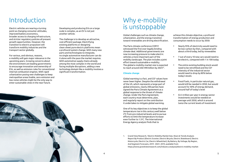### Introduction

Electric vehicles are nearing a turning point as changing consumer attitudes, improved battery economics, broader access to charging infrastructure, and stricter regulatory policies all present growth opportunities. However, the transition to electric propulsion will transform mobility industries and the transport sector globally.

For various, and obvious, reasons, e-mobility will gain major relevance in the upcoming years. Growing concerns about the environment are leading governments to encourage innovation and ownership of EVs, as well as emission rules for conventional internal combustion engines. With rapid urbanization posing new challenges to keep metropolitan areas livable, zero-emission and low-noise vehicles might be the only way to enter sustainable cities in the near future.

Developing and producing EVs on a large scale is complex, as an EV is not just another vehicle.

The challenge is to develop an attractive, cost-efficient package. Electrifying existing platforms or designing clean-sheet pure electric platforms mean a profound system change. With many new parts and technologies to integrate, no single automotive manufacturer can do it alone with the pace the market requires. With automotive supply chains already among the most complex in the world and facing multiple disruptions, adding a new technology domain like e-mobility involves a significant transformation.

### Why e-mobility is unstoppable

Global challenges such as climate change, urbanization, and the energy transition toward renewables are driving electrification.

The Paris climate conference COP21 witnessed the first ever legally binding climate deal. Additional governments are now increasing pressure to make electric vehicles a more important part of the mobility landscape. The plan includes a joint effort toward sustainable e-mobility. The global e-mobility market size is expected to reach around USD 490 billion by 2025[1].

### **Climate change**

Global warming is a fact, and CO<sup>2</sup> values have never been higher. Despite the withdrawal of the US, which represents a large part of global emissions, nearly 200 parties have signed the Paris Climate Agreement as a global response to the threat of climate change. Under the Paris Agreement, each country must determine, plan, and regularly report on the contribution it undertakes to mitigate global warming.

One of its key objectives is to keep the global temperature rise in this century well below 20C from pre-industrial levels and to pursue efforts to limit the temperature increase even further to 1.5°C. The International Energy Agency analysis finds that to

1. Grand View Research, 'Electric Mobility Market Size, Share & Trends Analysis Report By Product (Electric Scooter, Electric Bicycle, Electric Skateboard, Electric Motorcycle, Electric Car, Electric Wheelchair), By Battery, By Voltage, By Region,

https://www.grandviewresearch.com/industry-analysis/electric-mobility-market

And Segment Forecasts, 2019 - 2025', 2019, available from:

achieve this climate objective, a profound transformation of energy production and consumption needs to occur by 2050:

- Nearly 95% of electricity would need to be low-carbon by then, compared with about a third today, led by renewables
- 7 out of every 10 new cars would need to be electric, compared with 1 in 100 today
- The entire existing building stock would need to be retrofitted and the CO<sup>2</sup> intensity of the industrial sector would need to drop by 80% below today's levels
- Fossil fuels, in particular natural gas, would still be needed in 2050, but would account for 40% of energy demand, around half of today's level
- \$3.5 trillion per year in energy-sector investments would be needed on average until 2050, which is around twice the current levels of investment

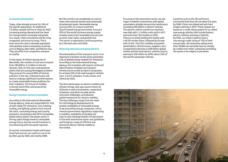#### **Increased urbanization**

Today, cities already account for 50% of the world's population. An additional 2.5 billion people will live in cities by 2050, increasing energy demand and the need for transportation of people and goods. As a result, cities and suburbs will be noisy, congested, and prone to smog. This is even more the case in densely-populated metropolitan areas in emerging countries such as Beijing, New Delhi, and Mexico City. They all suffer from congestion and poor air quality.

In the nearly 10 million-strong city of New Delhi, the number of cars has increased from 180,000 to 3.5 million in the last 30 years. Still, it's the city's coal powered plants that are causing the biggest problem. They account for around 80% of total air pollution in the city. Urbanized areas will have to undergo significant transformations to create sustainable living conditions for their residents. The future of mobility is shared, electrified, and powered by renewable energy.

#### **Energy transition toward renewables**

According to the International Renewable Energy Agency, cities are responsible for 70% of man-made CO<sup>2</sup> emissions. Cars, heating, cooling, and lighting systems work around the clock, consuming energy and causing emissions. According to the 2019 renewables global status report, the power sector is driving rapid change toward a renewable energy future, but the overall transition is not advancing with the speed required.

At current consumption levels and known fossil fuel sources, we could run out of oil by 2052, gas by 2060, and coal by 2088.

But the world is not completely on track to meet international climate and sustainable development goals. Renewable energy sources offer us a way to avoid this (fossil-fueled) energy time bomb. Around a fifth of the world's primary energy supply already comes from renewable sources such as wind, solar, hydro, and geothermal. This sector is expected to continue growing by 2.6% each year until 2040.

#### **Reducing emissions and going electric**

Decarbonization of the transport sector is an important transition as the sector generates 23% of global energy-related CO<sup>2</sup> emissions. According to the International Energy Agency, this transition will require continued electrification of global rail transport infrastructure as well as electric propulsion for at least 20% of all road transport vehicles (cars, 2 and 3-wheelers, trucks, buses, and others) by 2030.

The Paris declaration on electro-mobility and climate change calls upon governments at all levels as well as businesses, cooperative initiatives, and others to take action, overcome challenges, and advance global momentum for electro-mobility. The key challenges range from the need for technological developments to greater availability of renewable energy to be ensured by energy companies, not to mention government regulations supporting e-mobility, availability of durable and easy-to-use charging solution infrastructure in line with automotive sector cost guidelines, and bringing a range of efficient and attractive electric vehicle models to the market.

Focusing on the automotive sector, we see major e-mobility investments with global automakers already announcing investments exceeding \$90 billion in electric vehicles. The electric vehicle market has reached a new high with 1.2 million units sold in 2017 and more than 165 models on offer. China is currently leading the market with a 49.5% market share, followed by Europe with 25.6%. The full e-mobility ecosystem (automakers, infrastructure, suppliers, etc.) is expected to become a \$390 billion global market and the total electric vehicles stock is soaring to 548 million by 2040, about 32% of the world's passenger vehicles.

Countries such as the UK and France announced that they will not allow ICE sales by 2040. China runs ahead and sets hard targets starting in 2019. These targets are based on a credit rating system for so-called new energy vehicles that include battery electric vehicles and plug-in hybrids. By 2020, car makers need to have a new energy credit rating of 12% of their annual sales. All companies selling more than 30,000 cars annually have to comply, by credits from other companies exceeding the quota or be subject to penalties.

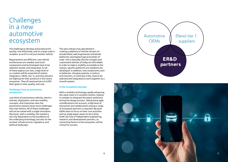### Challenges in a new automotive ecosystem

The challenge to develop and produce EVs quickly, cost effectively, and on a large scale is complex, as an EV is not just another vehicle.

Requirements are different, new vehicle architectures are needed, and novel components and technologies have to be selected, tested, and integrated. As all of these aspects are new, a high level of co-creation will be expected of system integrators. OEMs, tier 1s, and new entrants are fighting for their positions in the future ecosystem. They all need partners to fulfill their goals in time, quality, and cost.

#### **Challenges from an automotive perspective**

Just think of autonomous vehicles, electric vehicles, digitization, and new mobility concepts, and it becomes clear the automotive industry faces more challenges than ever before. All of these challenges will not be solved with a single innovation. Moreover, with e-mobility, the market is not only dependent on the excellence of the underlying technology, but also on the societal, infrastructural, regulatory, and political landscape.

The auto industry has specialized in creating a plethora of vehicle variants on standardized, well engineered, and tested platforms, leveraging huge economies of scale. This is basically why the complex and customized vehicles of today are affordable. In order to make e-mobility accessible to the masses, specific platforms are needed to be developed. In addition, new components such as batteries, charging systems, e-motors, and inverters, to name but a few, have to be selected and integrated to work together as a smooth system.

#### **A new ecosystem emerges**

With e-mobility technology rapidly advancing, the value chain is in constant motion, making it complex to integrate the latest evolutions during the design process. Taking these agile considerations into account, a high level of interaction and collaboration among a range of ecosystem partners is required. Because OEMs want to focus on their core activities and no single player wants to do it all by itself, the role of independent engineering, research, and development partners, as connecting factors in the ecosystem, will be critical for success.



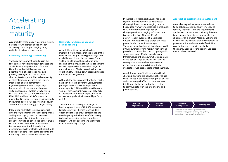### Accelerating toward maturity

As e-mobility technology is maturing, existing barriers for widespread adoption such as battery costs, range, charging time, and infrastructure are overcome.

### **E-mobility technology is advancing**

The huge development spendings in the recent years have dramatically advanced the available technology for electrification. Hand-in-hand with this progress, the potential field of application has also grown (passenger cars, trucks, buses, shuttles, tractors, etc.). The real complexity of electrification emerges in the system integration of high-performance, high-voltage components, especially batteries with drivetrain and charging systems. It requires system architectures that are compliant to safety standards of ISO-26262 and beyond. Safety must be guaranteed in every scenario, as milliseconds in power shut-off influence system behavior and therefore, ultimately, passenger safety.

Integration and safety issues cause a high amount of (re)engineering in the components and high-voltage systems, in hardware and software alike. Unit and system test scenarios have to be developed to test crucial circumstances under new requirements for test equipment. Additionally, the development cycle of electric vehicles should be agile to adhere to the same deadlines and ultimately costs as conventional vehicles.

### **Barriers for widespread adoption are disappearing**

Affordable battery capacity has been improved, which means that the range of the vehicles has changed. The typical range from available electric cars has increased from 150 km to 500 km with one charge under realistic conditions. The technical benchmark for existing vehicles is to reach a range of approximately 1,000 km as well as improve cell chemistry to drive down cost and make it more affordable (€/kwh).

Although the energy content of battery cells has been increasing over the years, smarter packages make it possible to put even more capacity (28Ah -> 63Ah) into the same volume, with a weight increase of only 25%. In the near future, we can expect batteries with an energy density increased by a factor of 2-3.

The lifetime of a battery is no longer a blocking point today. With 4,000 equivalent full charge cycles – before reaching 80% depth of discharge (DoD) compared to the rated capacity – the lifetime of the battery is already exceeding that of the vehicle. Batteries will get a second life as they are used as stationary storage.

In the last few years, technology has made significant developments toward better charging infrastructure. Charging time can be reduced from overnight (six to eight hours) to 20 minutes by using high power charging stations. Charging infrastructure is developing fast. At home, 22kW power – readily available at most single houses – is enough to fully charge the most powerful electric vehicle overnight. The urban infrastructure of fast chargers with 50kW power is growing rapidly, with parking providers, supermarkets, and shopping malls sometimes even offering free charging. Infrastructure of high-power charging points with a power range of 100kW to 450kW at strategic locations such as highways and defined urban locations is increasingly available for vehicles capable of fast charging.

An additional benefit will be bi-directional charging, allowing the power supplier to use the batteries in the vehicles for grid balancing and as an energy buffer. This requires new intelligence to be integrated into vehicles, to communicate with the grid and the grid power control.

#### **Approach to electric vehicle development**

From idea to product, several issues have to be solved. A detailed study is needed to identify the use case as the requirements applicable to an e-car are obviously different from the one for a city e-truck, an electric shuttle, or an e-tractor. After identifying the use case of the vehicle, it is very important to prove technical and commercial feasibility. As a first research step in the study, the energy needed for the specific use case needs to be calculated.

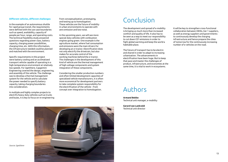#### **Different vehicles, different challenges**

In the example of an autonomous shuttle for rapid group transit, the requirements were defined with the use case boundaries such as speed, availability, capacity of people per hour, range, and operating costs. The technical feasibility study answered questions regarding power class, battery capacity, charging power possibilities, charging time, etc. With this information, the infrastructure needed could be planned and matched with the environment.

Specific requirements in this project were battery cooling and an acclimatized transport vehicle capable of operating in a high-temperature environment at relatively low speeds. For 2getthere, Capgemini Engineering covered the design, engineering, and assembly of the vehicle. The challenge was to develop a thermal management system for the vehicle and to calculate the power needed to specify battery capacity, taking charging boundaries into consideration.

In multiple and highly complex projects to electrify heavy-duty vehicles such as trucks and buses, it is key to focus on re-engineering from conceptualization, prototyping, and testing up to homologation. These vehicles are the future of mobility in urban environments to operate with zero emission and low noise.

In the upcoming years, we will see more special-duty vehicles with combustion engines going green. One example is the agriculture market, where fuel consumption and emissions were the main drivers for developing an e-tractor. Electrification does not only electrify the drivetrain, but also makes for accurate control of the working machines behind the e-tractor. The challenges in the development of this kind of vehicle are the thermal management of high-voltage components and system integration of these components.

Considering the smaller production numbers and often limited development capacities of specialized vehicle manufacturers, it is often more economical for development partners to take complete system responsibility for the electrification of the vehicle – from concept over integration to homologation.

### Conclusion

The development and spread of e-mobility is bringing us much more than increased comfort and quality of life. It also has to be seen as a way to meet our responsibility to cut down CO<sup>2</sup> emissions in order to fight global warming and keep the world a habitable place.

The future of transport has to be electric and shared in order to adapt to increasing urbanization. The advancements in electrification have been huge. But to keep that pace and master the challenges of product, infrastructure, and economies at the same time, it is vital to work in ecosystems.

It will be key to strengthen cross-functional collaboration between OEMs, tier 1 suppliers, as well as energy suppliers and governments to continuously develop the charging infrastructure and hence prepare the cities of tomorrow for the continuously increasing number of e-vehicles on the road.

### Authors

**Armand Bekke** Technical unit manager, e-mobility

**Gerard van Lankveld** Technical unit director



*Source: 2getthere*